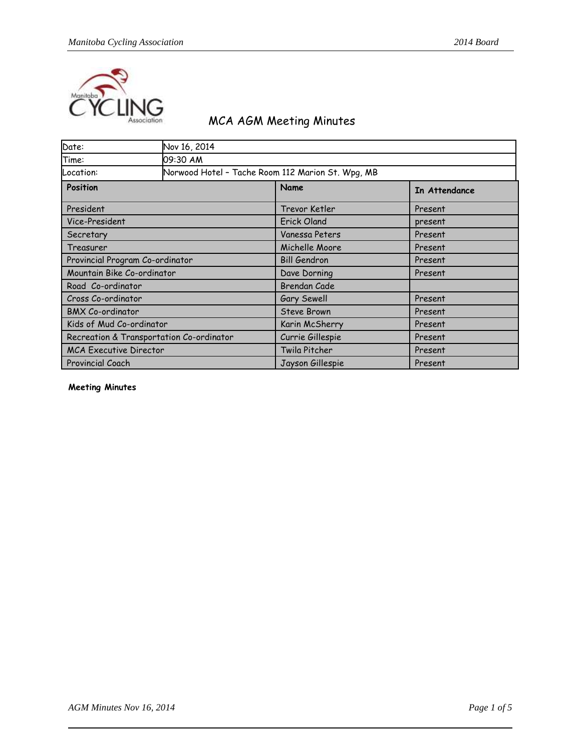

## MCA AGM Meeting Minutes

| Date:                           | Nov 16, 2014                             |                                                   |               |
|---------------------------------|------------------------------------------|---------------------------------------------------|---------------|
| Time:                           | 09:30 AM                                 |                                                   |               |
| Location:                       |                                          | Norwood Hotel - Tache Room 112 Marion St. Wpg, MB |               |
| <b>Position</b>                 |                                          | Name                                              | In Attendance |
| President                       |                                          | Trevor Ketler                                     | Present       |
| Vice-President                  |                                          | <b>Erick Oland</b>                                | present       |
| Secretary                       |                                          | Vanessa Peters                                    | Present       |
| Treasurer                       |                                          | Michelle Moore                                    | Present       |
| Provincial Program Co-ordinator |                                          | <b>Bill Gendron</b>                               | Present       |
| Mountain Bike Co-ordinator      |                                          | Dave Dorning                                      | Present       |
| Road Co-ordinator               |                                          | <b>Brendan Cade</b>                               |               |
| Cross Co-ordinator              |                                          | Gary Sewell                                       | Present       |
| <b>BMX Co-ordinator</b>         |                                          | <b>Steve Brown</b>                                | Present       |
| Kids of Mud Co-ordinator        |                                          | Karin McSherry                                    | Present       |
|                                 | Recreation & Transportation Co-ordinator | Currie Gillespie                                  | Present       |
| <b>MCA Executive Director</b>   |                                          | Twila Pitcher                                     | Present       |
| <b>Provincial Coach</b>         |                                          | Jayson Gillespie                                  | Present       |

**Meeting Minutes**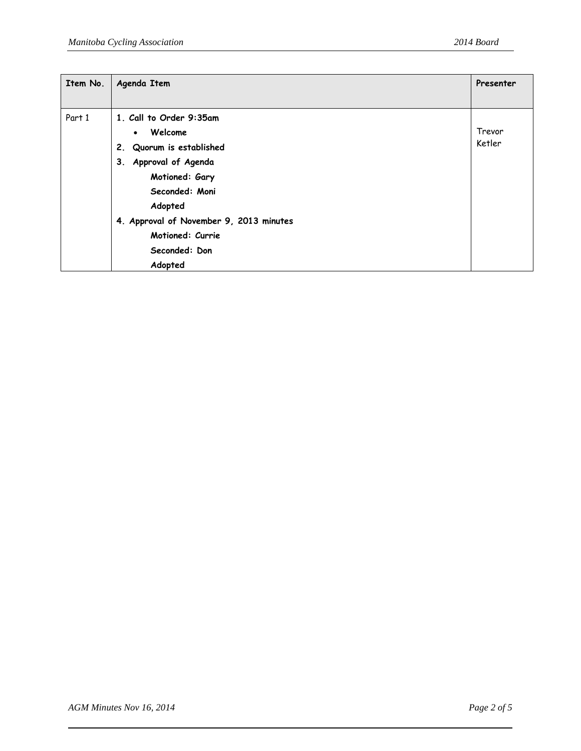| Item No. | Agenda Item                             | Presenter |
|----------|-----------------------------------------|-----------|
|          |                                         |           |
| Part 1   | 1. Call to Order 9:35am                 |           |
|          | Welcome<br>$\bullet$                    | Trevor    |
|          | Quorum is established<br>2.             | Ketler    |
|          | Approval of Agenda<br>3.                |           |
|          | Motioned: Gary                          |           |
|          | Seconded: Moni                          |           |
|          | Adopted                                 |           |
|          | 4. Approval of November 9, 2013 minutes |           |
|          | Motioned: Currie                        |           |
|          | Seconded: Don                           |           |
|          | Adopted                                 |           |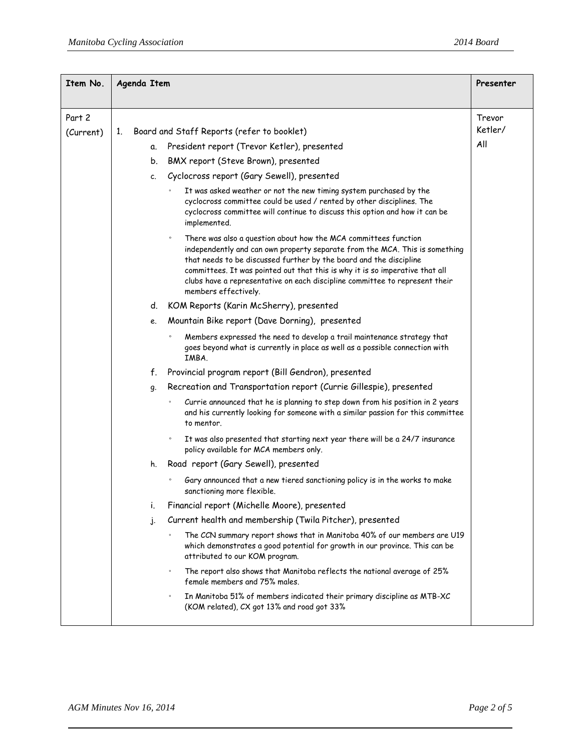| Item No.  | Agenda Item                                                                                                                                                                                                                                                                                                                                                                                                            | Presenter |
|-----------|------------------------------------------------------------------------------------------------------------------------------------------------------------------------------------------------------------------------------------------------------------------------------------------------------------------------------------------------------------------------------------------------------------------------|-----------|
| Part 2    |                                                                                                                                                                                                                                                                                                                                                                                                                        | Trevor    |
| (Current) | Board and Staff Reports (refer to booklet)<br>1.                                                                                                                                                                                                                                                                                                                                                                       | Ketler/   |
|           | President report (Trevor Ketler), presented<br>α.                                                                                                                                                                                                                                                                                                                                                                      | All       |
|           | BMX report (Steve Brown), presented<br>b.                                                                                                                                                                                                                                                                                                                                                                              |           |
|           | Cyclocross report (Gary Sewell), presented<br>c.                                                                                                                                                                                                                                                                                                                                                                       |           |
|           | It was asked weather or not the new timing system purchased by the<br>$\circ$<br>cyclocross committee could be used / rented by other disciplines. The<br>cyclocross committee will continue to discuss this option and how it can be<br>implemented.                                                                                                                                                                  |           |
|           | There was also a question about how the MCA committees function<br>$\circ$<br>independently and can own property separate from the MCA. This is something<br>that needs to be discussed further by the board and the discipline<br>committees. It was pointed out that this is why it is so imperative that all<br>clubs have a representative on each discipline committee to represent their<br>members effectively. |           |
|           | KOM Reports (Karin McSherry), presented<br>d.                                                                                                                                                                                                                                                                                                                                                                          |           |
|           | Mountain Bike report (Dave Dorning), presented<br>e.                                                                                                                                                                                                                                                                                                                                                                   |           |
|           | Members expressed the need to develop a trail maintenance strategy that<br>goes beyond what is currently in place as well as a possible connection with<br>IMBA.                                                                                                                                                                                                                                                       |           |
|           | Provincial program report (Bill Gendron), presented<br>f.                                                                                                                                                                                                                                                                                                                                                              |           |
|           | Recreation and Transportation report (Currie Gillespie), presented<br>g.                                                                                                                                                                                                                                                                                                                                               |           |
|           | Currie announced that he is planning to step down from his position in 2 years<br>$\circ$<br>and his currently looking for someone with a similar passion for this committee<br>to mentor.                                                                                                                                                                                                                             |           |
|           | It was also presented that starting next year there will be a 24/7 insurance<br>$\circ$<br>policy available for MCA members only.                                                                                                                                                                                                                                                                                      |           |
|           | Road report (Gary Sewell), presented<br>h.                                                                                                                                                                                                                                                                                                                                                                             |           |
|           | Gary announced that a new tiered sanctioning policy is in the works to make<br>sanctioning more flexible.                                                                                                                                                                                                                                                                                                              |           |
|           | Financial report (Michelle Moore), presented<br>Ť.                                                                                                                                                                                                                                                                                                                                                                     |           |
|           | Current health and membership (Twila Pitcher), presented<br>j.                                                                                                                                                                                                                                                                                                                                                         |           |
|           | The CCN summary report shows that in Manitoba 40% of our members are U19<br>which demonstrates a good potential for growth in our province. This can be<br>attributed to our KOM program.                                                                                                                                                                                                                              |           |
|           | The report also shows that Manitoba reflects the national average of 25%<br>$\circ$<br>female members and 75% males.                                                                                                                                                                                                                                                                                                   |           |
|           | In Manitoba 51% of members indicated their primary discipline as MTB-XC<br>$\circ$<br>(KOM related), CX got 13% and road got 33%                                                                                                                                                                                                                                                                                       |           |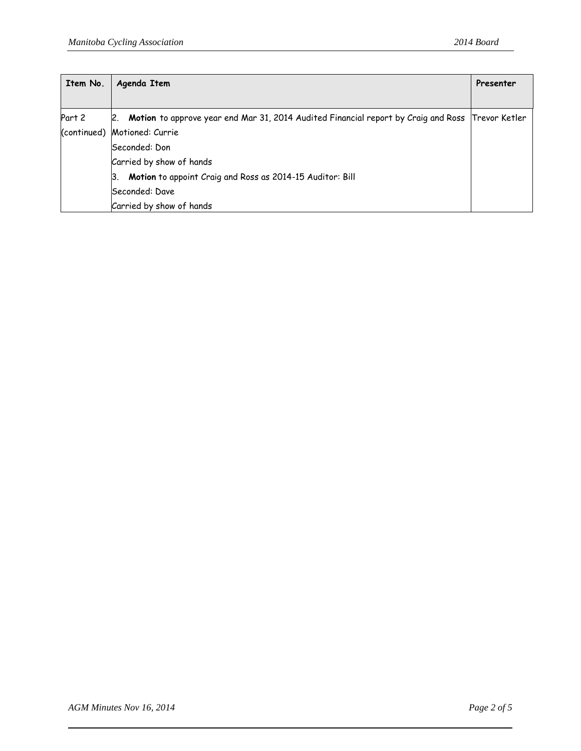| Item No. | Agenda Item                                                                                          |               |
|----------|------------------------------------------------------------------------------------------------------|---------------|
|          |                                                                                                      |               |
| Part 2   | Motion to approve year end Mar 31, 2014 Audited Financial report by Craig and Ross<br>$\mathsf{R}$ . | Trevor Ketler |
|          | (continued) Motioned: Currie                                                                         |               |
|          | Seconded: Don                                                                                        |               |
|          | Carried by show of hands                                                                             |               |
|          | Motion to appoint Craig and Ross as 2014-15 Auditor: Bill<br>Β.                                      |               |
|          | Seconded: Dave                                                                                       |               |
|          | Carried by show of hands                                                                             |               |